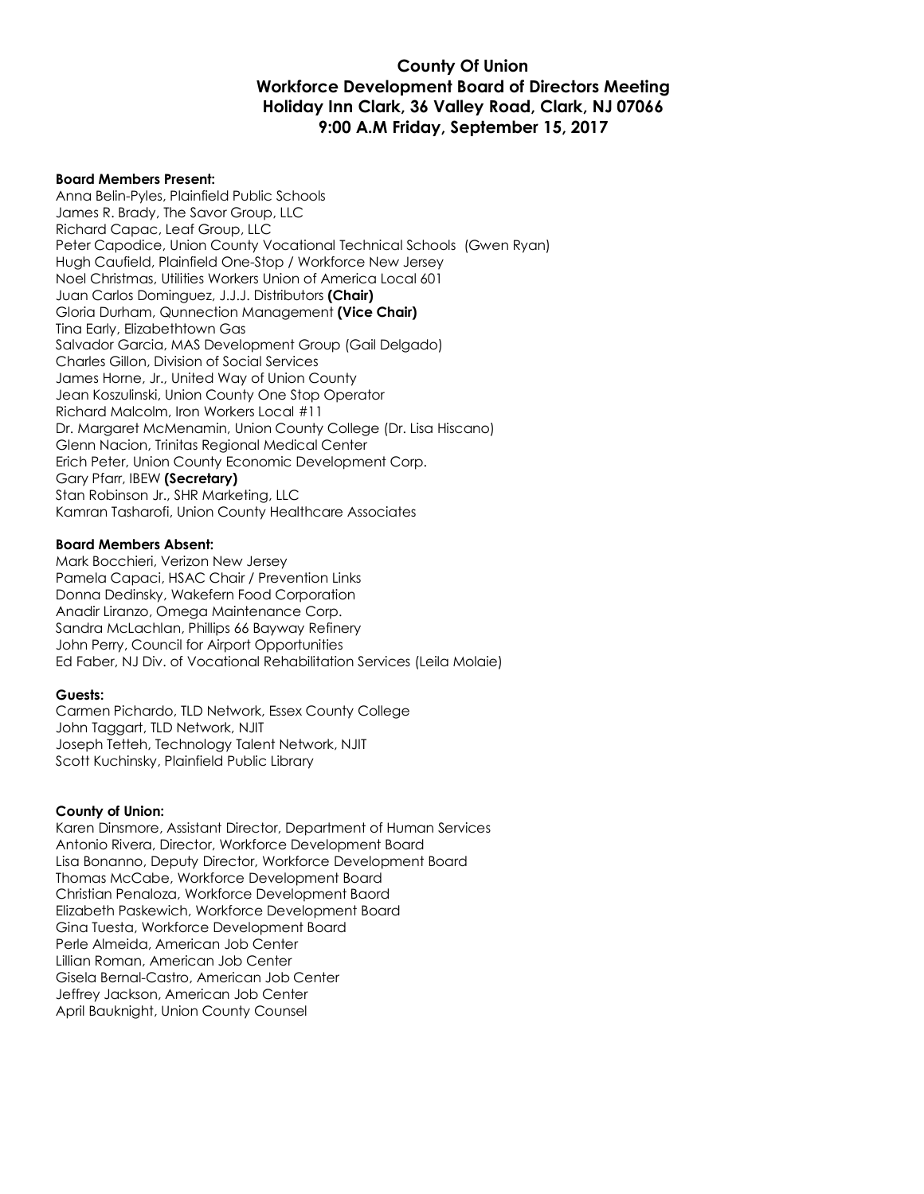# **County Of Union Workforce Development Board of Directors Meeting Holiday Inn Clark, 36 Valley Road, Clark, NJ 07066 9:00 A.M Friday, September 15, 2017**

#### **Board Members Present:**

Anna Belin-Pyles, Plainfield Public Schools James R. Brady, The Savor Group, LLC Richard Capac, Leaf Group, LLC Peter Capodice, Union County Vocational Technical Schools (Gwen Ryan) Hugh Caufield, Plainfield One-Stop / Workforce New Jersey Noel Christmas, Utilities Workers Union of America Local 601 Juan Carlos Dominguez, J.J.J. Distributors **(Chair)** Gloria Durham, Qunnection Management **(Vice Chair)** Tina Early, Elizabethtown Gas Salvador Garcia, MAS Development Group (Gail Delgado) Charles Gillon, Division of Social Services James Horne, Jr., United Way of Union County Jean Koszulinski, Union County One Stop Operator Richard Malcolm, Iron Workers Local #11 Dr. Margaret McMenamin, Union County College (Dr. Lisa Hiscano) Glenn Nacion, Trinitas Regional Medical Center Erich Peter, Union County Economic Development Corp. Gary Pfarr, IBEW **(Secretary)** Stan Robinson Jr., SHR Marketing, LLC Kamran Tasharofi, Union County Healthcare Associates

#### **Board Members Absent:**

Mark Bocchieri, Verizon New Jersey Pamela Capaci, HSAC Chair / Prevention Links Donna Dedinsky, Wakefern Food Corporation Anadir Liranzo, Omega Maintenance Corp. Sandra McLachlan, Phillips 66 Bayway Refinery John Perry, Council for Airport Opportunities Ed Faber, NJ Div. of Vocational Rehabilitation Services (Leila Molaie)

#### **Guests:**

Carmen Pichardo, TLD Network, Essex County College John Taggart, TLD Network, NJIT Joseph Tetteh, Technology Talent Network, NJIT Scott Kuchinsky, Plainfield Public Library

#### **County of Union:**

Karen Dinsmore, Assistant Director, Department of Human Services Antonio Rivera, Director, Workforce Development Board Lisa Bonanno, Deputy Director, Workforce Development Board Thomas McCabe, Workforce Development Board Christian Penaloza, Workforce Development Baord Elizabeth Paskewich, Workforce Development Board Gina Tuesta, Workforce Development Board Perle Almeida, American Job Center Lillian Roman, American Job Center Gisela Bernal-Castro, American Job Center Jeffrey Jackson, American Job Center April Bauknight, Union County Counsel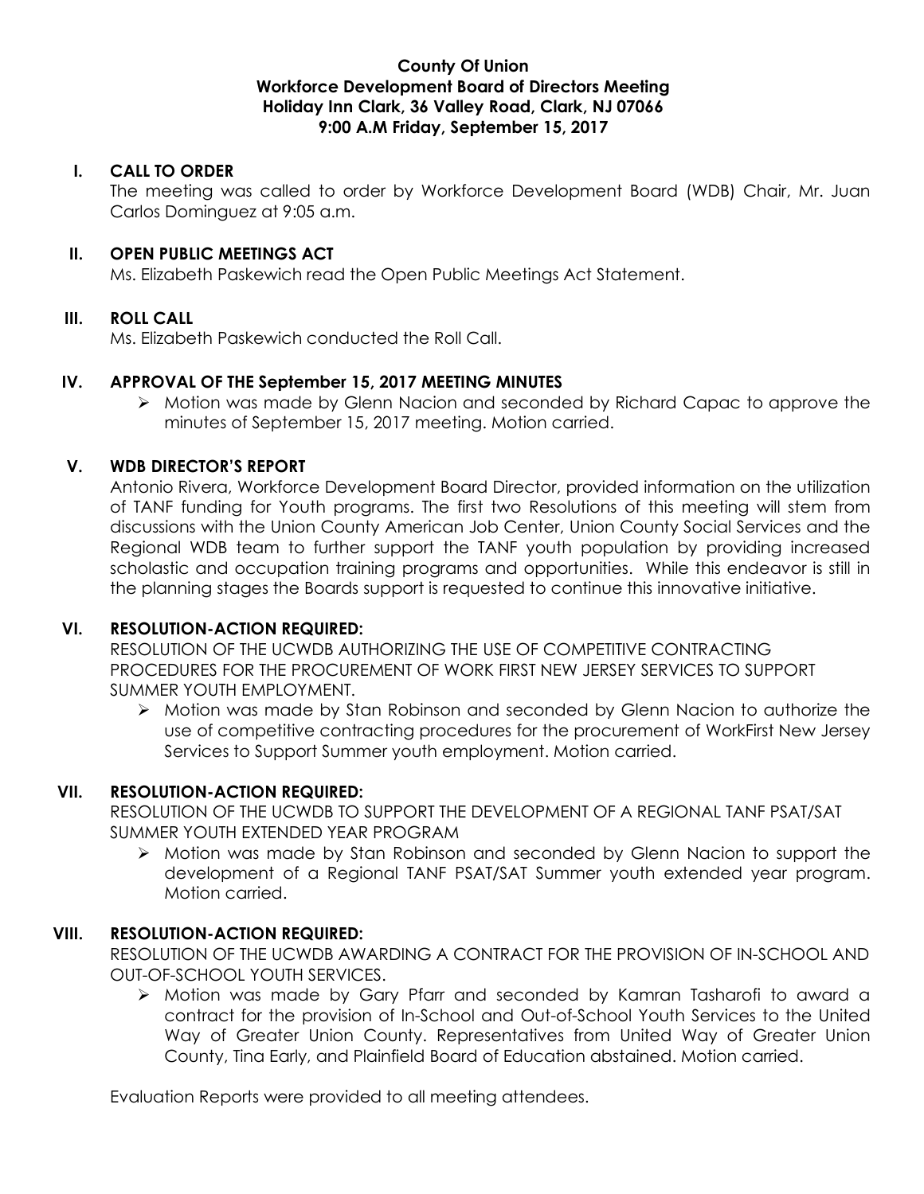## **County Of Union Workforce Development Board of Directors Meeting Holiday Inn Clark, 36 Valley Road, Clark, NJ 07066 9:00 A.M Friday, September 15, 2017**

# **I. CALL TO ORDER**

The meeting was called to order by Workforce Development Board (WDB) Chair, Mr. Juan Carlos Dominguez at 9:05 a.m.

## **II. OPEN PUBLIC MEETINGS ACT**

Ms. Elizabeth Paskewich read the Open Public Meetings Act Statement.

# **III. ROLL CALL**

Ms. Elizabeth Paskewich conducted the Roll Call.

# **IV. APPROVAL OF THE September 15, 2017 MEETING MINUTES**

 $\triangleright$  Motion was made by Glenn Nacion and seconded by Richard Capac to approve the minutes of September 15, 2017 meeting. Motion carried.

# **V. WDB DIRECTOR'S REPORT**

Antonio Rivera, Workforce Development Board Director, provided information on the utilization of TANF funding for Youth programs. The first two Resolutions of this meeting will stem from discussions with the Union County American Job Center, Union County Social Services and the Regional WDB team to further support the TANF youth population by providing increased scholastic and occupation training programs and opportunities. While this endeavor is still in the planning stages the Boards support is requested to continue this innovative initiative.

### **VI. RESOLUTION-ACTION REQUIRED:**

RESOLUTION OF THE UCWDB AUTHORIZING THE USE OF COMPETITIVE CONTRACTING PROCEDURES FOR THE PROCUREMENT OF WORK FIRST NEW JERSEY SERVICES TO SUPPORT SUMMER YOUTH EMPLOYMENT.

Ø Motion was made by Stan Robinson and seconded by Glenn Nacion to authorize the use of competitive contracting procedures for the procurement of WorkFirst New Jersey Services to Support Summer youth employment. Motion carried.

### **VII. RESOLUTION-ACTION REQUIRED:**

RESOLUTION OF THE UCWDB TO SUPPORT THE DEVELOPMENT OF A REGIONAL TANF PSAT/SAT SUMMER YOUTH EXTENDED YEAR PROGRAM

Ø Motion was made by Stan Robinson and seconded by Glenn Nacion to support the development of a Regional TANF PSAT/SAT Summer youth extended year program. Motion carried.

### **VIII. RESOLUTION-ACTION REQUIRED:**

RESOLUTION OF THE UCWDB AWARDING A CONTRACT FOR THE PROVISION OF IN-SCHOOL AND OUT-OF-SCHOOL YOUTH SERVICES.

Ø Motion was made by Gary Pfarr and seconded by Kamran Tasharofi to award a contract for the provision of In-School and Out-of-School Youth Services to the United Way of Greater Union County. Representatives from United Way of Greater Union County, Tina Early, and Plainfield Board of Education abstained. Motion carried.

Evaluation Reports were provided to all meeting attendees.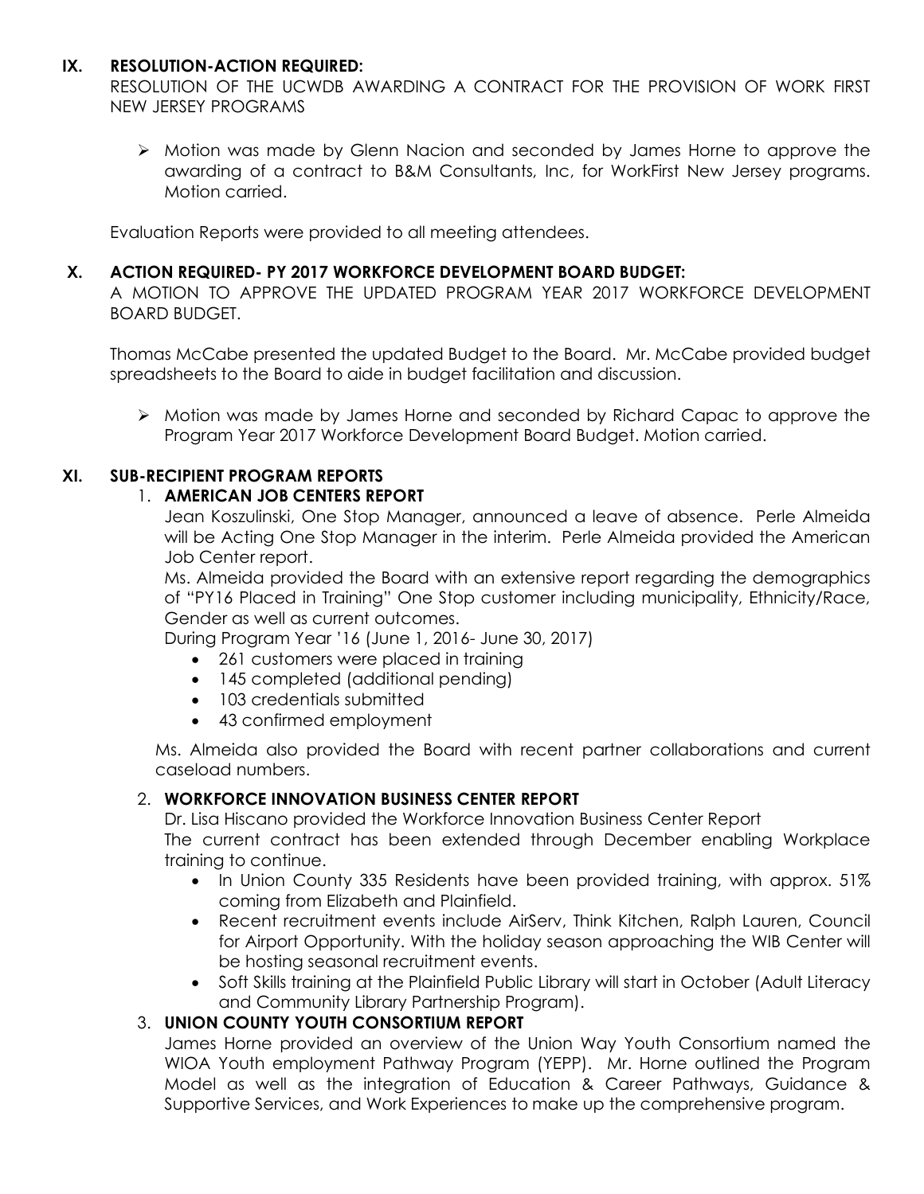# **IX. RESOLUTION-ACTION REQUIRED:**

RESOLUTION OF THE UCWDB AWARDING A CONTRACT FOR THE PROVISION OF WORK FIRST NEW JERSEY PROGRAMS

Ø Motion was made by Glenn Nacion and seconded by James Horne to approve the awarding of a contract to B&M Consultants, Inc, for WorkFirst New Jersey programs. Motion carried.

Evaluation Reports were provided to all meeting attendees.

## **X. ACTION REQUIRED- PY 2017 WORKFORCE DEVELOPMENT BOARD BUDGET:**

A MOTION TO APPROVE THE UPDATED PROGRAM YEAR 2017 WORKFORCE DEVELOPMENT BOARD BUDGET.

Thomas McCabe presented the updated Budget to the Board. Mr. McCabe provided budget spreadsheets to the Board to aide in budget facilitation and discussion.

Ø Motion was made by James Horne and seconded by Richard Capac to approve the Program Year 2017 Workforce Development Board Budget. Motion carried.

# **XI. SUB-RECIPIENT PROGRAM REPORTS**

# 1. **AMERICAN JOB CENTERS REPORT**

Jean Koszulinski, One Stop Manager, announced a leave of absence. Perle Almeida will be Acting One Stop Manager in the interim. Perle Almeida provided the American Job Center report.

Ms. Almeida provided the Board with an extensive report regarding the demographics of "PY16 Placed in Training" One Stop customer including municipality, Ethnicity/Race, Gender as well as current outcomes.

During Program Year '16 (June 1, 2016- June 30, 2017)

- 261 customers were placed in training
- 145 completed (additional pending)
- 103 credentials submitted
- 43 confirmed employment

Ms. Almeida also provided the Board with recent partner collaborations and current caseload numbers.

# 2. **WORKFORCE INNOVATION BUSINESS CENTER REPORT**

Dr. Lisa Hiscano provided the Workforce Innovation Business Center Report The current contract has been extended through December enabling Workplace training to continue.

- In Union County 335 Residents have been provided training, with approx. 51% coming from Elizabeth and Plainfield.
- Recent recruitment events include AirServ, Think Kitchen, Ralph Lauren, Council for Airport Opportunity. With the holiday season approaching the WIB Center will be hosting seasonal recruitment events.
- Soft Skills training at the Plainfield Public Library will start in October (Adult Literacy and Community Library Partnership Program).

# 3. **UNION COUNTY YOUTH CONSORTIUM REPORT**

James Horne provided an overview of the Union Way Youth Consortium named the WIOA Youth employment Pathway Program (YEPP). Mr. Horne outlined the Program Model as well as the integration of Education & Career Pathways, Guidance & Supportive Services, and Work Experiences to make up the comprehensive program.